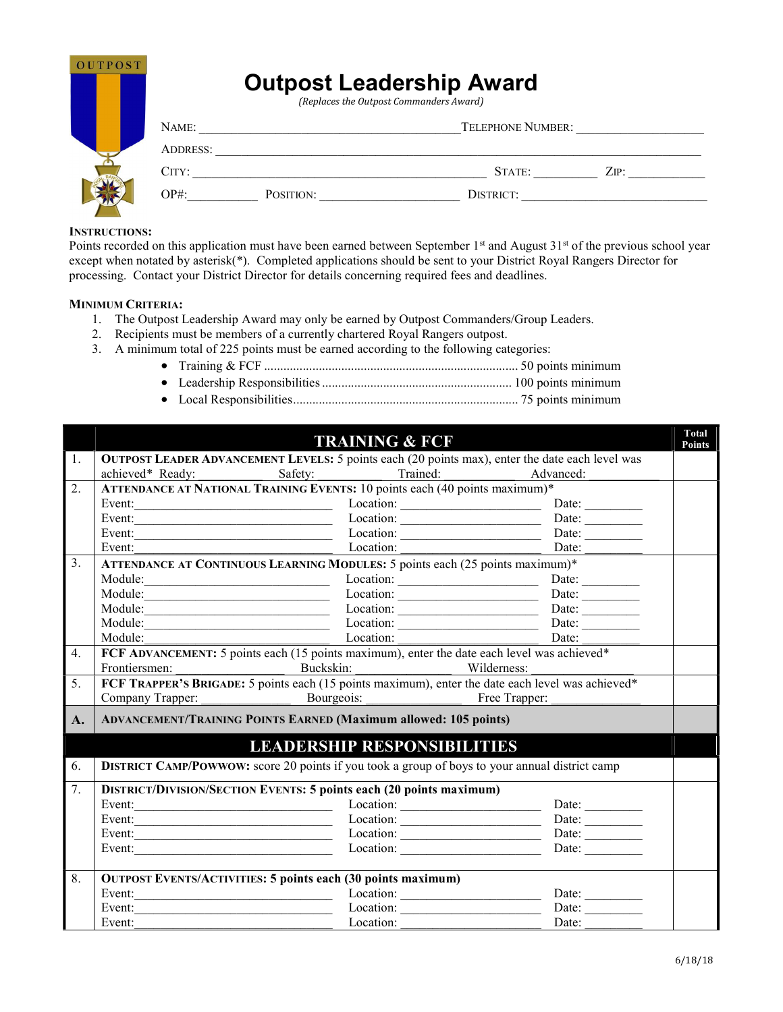| <b>OUTPOST</b> |          |           | <b>Outpost Leadership Award</b><br>(Replaces the Outpost Commanders Award) |      |
|----------------|----------|-----------|----------------------------------------------------------------------------|------|
|                | NAME:    |           | <b>TELEPHONE NUMBER:</b>                                                   |      |
|                | ADDRESS: |           |                                                                            |      |
|                | CITY:    |           | STATE:                                                                     | ZIP: |
|                | $OP#$ :  | POSITION: | DISTRICT:                                                                  |      |

#### INSTRUCTIONS:

Points recorded on this application must have been earned between September  $1<sup>st</sup>$  and August  $31<sup>st</sup>$  of the previous school year except when notated by asterisk(\*). Completed applications should be sent to your District Royal Rangers Director for processing. Contact your District Director for details concerning required fees and deadlines.

### MINIMUM CRITERIA:

- 1. The Outpost Leadership Award may only be earned by Outpost Commanders/Group Leaders.
- 2. Recipients must be members of a currently chartered Royal Rangers outpost.
- 3. A minimum total of 225 points must be earned according to the following categories:
	- Training & FCF ............................................................................... 50 points minimum
	- Leadership Responsibilities ........................................................... 100 points minimum
	- Local Responsibilities ...................................................................... 75 points minimum

|                  |                                                                                                                                  |            | <b>TRAINING &amp; FCF</b>                           |                                                                                                                                                   | <b>Total</b><br>Points |  |
|------------------|----------------------------------------------------------------------------------------------------------------------------------|------------|-----------------------------------------------------|---------------------------------------------------------------------------------------------------------------------------------------------------|------------------------|--|
| $\overline{1}$ . |                                                                                                                                  |            |                                                     | <b>OUTPOST LEADER ADVANCEMENT LEVELS:</b> 5 points each (20 points max), enter the date each level was                                            |                        |  |
|                  | achieved* Ready:                                                                                                                 | Safety:    | Trained:                                            | Advanced:                                                                                                                                         |                        |  |
| 2.               | ATTENDANCE AT NATIONAL TRAINING EVENTS: 10 points each (40 points maximum)*                                                      |            |                                                     |                                                                                                                                                   |                        |  |
|                  | Event:<br><u> 1990 - Johann John Harry Harry Harry Harry Harry Harry Harry Harry Harry Harry Harry Harry Harry Harry Harry H</u> |            |                                                     | Date: $\qquad \qquad$                                                                                                                             |                        |  |
|                  | Event:<br><u> 1989 - Johann John Stone, markin film yn y brening yn y brening yn y brening yn y brening yn y brening yn y br</u> |            |                                                     | Location: Date: Date:                                                                                                                             |                        |  |
|                  | Event:<br><u> 1990 - Johann Barbara, martin amerikan basar dan berasal dalam basar dalam basar dalam basar dalam basar dala</u>  |            |                                                     | Date: $\frac{1}{\sqrt{1-\frac{1}{2}}\cdot\frac{1}{2}}$                                                                                            |                        |  |
|                  | Event:                                                                                                                           |            | Location:                                           | Date:                                                                                                                                             |                        |  |
| 3.               | ATTENDANCE AT CONTINUOUS LEARNING MODULES: 5 points each (25 points maximum)*                                                    |            |                                                     |                                                                                                                                                   |                        |  |
|                  | Module:                                                                                                                          |            |                                                     | Date:                                                                                                                                             |                        |  |
|                  | Module:                                                                                                                          |            | $\frac{Location: \_}{\_}$                           | Date:                                                                                                                                             |                        |  |
|                  | Module:                                                                                                                          |            | $\frac{Location: \qquad \qquad }{[ \qquad \qquad }$ | Date: $\_\_$                                                                                                                                      |                        |  |
|                  |                                                                                                                                  |            |                                                     | Date: $\_\_$                                                                                                                                      |                        |  |
|                  | Module:                                                                                                                          |            | Location:                                           | Date:                                                                                                                                             |                        |  |
| 4.               | FCF ADVANCEMENT: 5 points each (15 points maximum), enter the date each level was achieved*                                      |            |                                                     |                                                                                                                                                   |                        |  |
|                  | Frontiersmen:                                                                                                                    | Buckskin:  |                                                     | Wilderness:                                                                                                                                       |                        |  |
| 5.               |                                                                                                                                  |            |                                                     | Frontiersmen: Buckskin: Wilderness: Wilderness: FCF TRAPPER'S BRIGADE: 5 points each (15 points maximum), enter the date each level was achieved* |                        |  |
|                  | Company Trapper:                                                                                                                 | Bourgeois: | <b>Example 1.</b> Free Trapper:                     |                                                                                                                                                   |                        |  |
| $\mathbf{A}$ .   | <b>ADVANCEMENT/TRAINING POINTS EARNED (Maximum allowed: 105 points)</b>                                                          |            |                                                     |                                                                                                                                                   |                        |  |
|                  |                                                                                                                                  |            | <b>LEADERSHIP RESPONSIBILITIES</b>                  |                                                                                                                                                   |                        |  |
| 6.               | <b>DISTRICT CAMP/POWWOW:</b> score 20 points if you took a group of boys to your annual district camp                            |            |                                                     |                                                                                                                                                   |                        |  |
| 7.               | <b>DISTRICT/DIVISION/SECTION EVENTS: 5 points each (20 points maximum)</b>                                                       |            |                                                     |                                                                                                                                                   |                        |  |
|                  | Event:<br><u> 1989 - Johann Barbara, martin amerikan basar dan berasal dalam basar dalam basar dalam basar dalam basar dala</u>  |            |                                                     | Location: Date: Date:                                                                                                                             |                        |  |
|                  | Event:                                                                                                                           |            |                                                     | Location: Date: Date:                                                                                                                             |                        |  |
|                  |                                                                                                                                  |            |                                                     | Event: Date: Date:                                                                                                                                |                        |  |
|                  |                                                                                                                                  |            |                                                     | Event: Date: Date: Date:                                                                                                                          |                        |  |
| 8.               | <b>OUTPOST EVENTS/ACTIVITIES: 5 points each (30 points maximum)</b>                                                              |            |                                                     |                                                                                                                                                   |                        |  |
|                  | Event:                                                                                                                           |            |                                                     | Date: $\qquad \qquad$                                                                                                                             |                        |  |
|                  | Event:                                                                                                                           |            |                                                     | Date: $\qquad \qquad$                                                                                                                             |                        |  |
|                  | Event:                                                                                                                           |            | Location:                                           | Date:                                                                                                                                             |                        |  |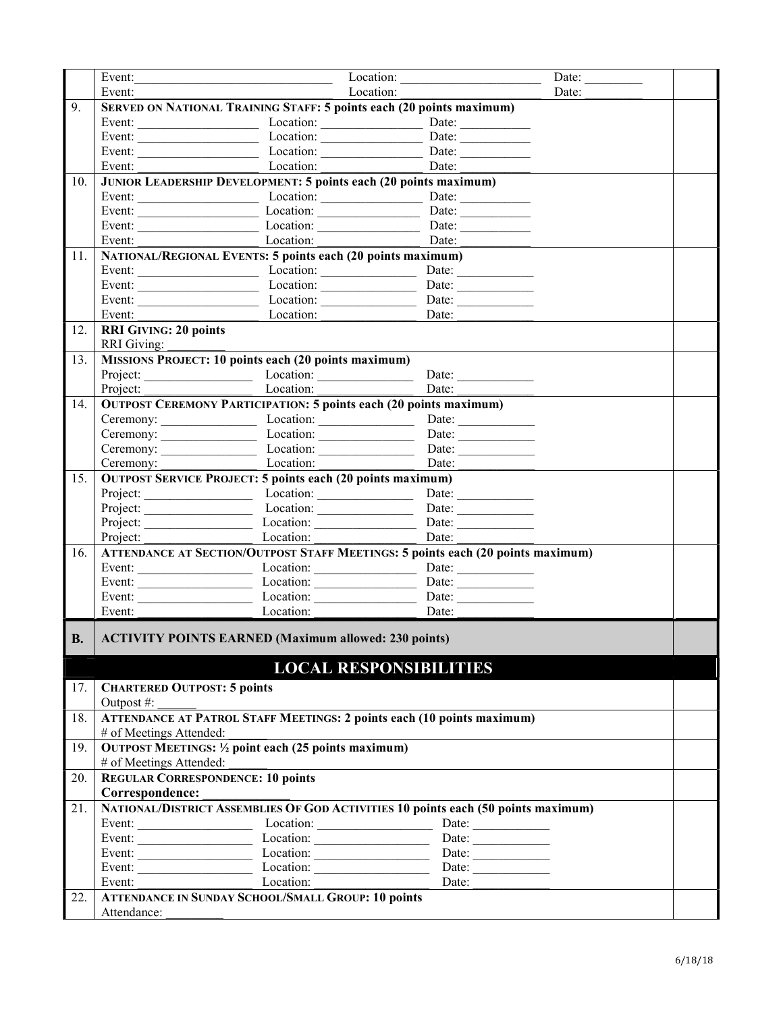|           | Event:                                                                  | the control of the control of the control of the control of the control of the control of | Location:                                                                              | Date: $\qquad \qquad$ |  |  |  |
|-----------|-------------------------------------------------------------------------|-------------------------------------------------------------------------------------------|----------------------------------------------------------------------------------------|-----------------------|--|--|--|
|           | Event:                                                                  | Location:                                                                                 |                                                                                        | Date:                 |  |  |  |
| 9.        |                                                                         | <b>SERVED ON NATIONAL TRAINING STAFF: 5 points each (20 points maximum)</b>               |                                                                                        |                       |  |  |  |
|           |                                                                         |                                                                                           |                                                                                        |                       |  |  |  |
|           |                                                                         | Event: Location: Location: Date: Date:                                                    |                                                                                        |                       |  |  |  |
|           |                                                                         | Event: Location: Location: Date: Date:                                                    |                                                                                        |                       |  |  |  |
|           | Event:                                                                  | Date: Location: Date:                                                                     |                                                                                        |                       |  |  |  |
| 10.       | <b>JUNIOR LEADERSHIP DEVELOPMENT: 5 points each (20 points maximum)</b> |                                                                                           |                                                                                        |                       |  |  |  |
|           |                                                                         |                                                                                           |                                                                                        |                       |  |  |  |
|           | Event: $\qquad \qquad$                                                  | $\frac{Location: \qquad \qquad }{[ \qquad \qquad ]}$                                      | Date:                                                                                  |                       |  |  |  |
|           |                                                                         |                                                                                           | Date:                                                                                  |                       |  |  |  |
|           |                                                                         | Event: Location:                                                                          | Date:                                                                                  |                       |  |  |  |
| 11.       |                                                                         | <b>NATIONAL/REGIONAL EVENTS: 5 points each (20 points maximum)</b>                        |                                                                                        |                       |  |  |  |
|           |                                                                         |                                                                                           |                                                                                        |                       |  |  |  |
|           |                                                                         |                                                                                           |                                                                                        |                       |  |  |  |
|           |                                                                         | Event: Location: Location:                                                                | Date: $\qquad \qquad$                                                                  |                       |  |  |  |
|           |                                                                         | Event: Location:                                                                          | Date:                                                                                  |                       |  |  |  |
| 12.       | <b>RRI GIVING: 20 points</b>                                            |                                                                                           |                                                                                        |                       |  |  |  |
|           | <b>RRI</b> Giving:                                                      |                                                                                           |                                                                                        |                       |  |  |  |
| 13.       |                                                                         | <b>MISSIONS PROJECT: 10 points each (20 points maximum)</b>                               |                                                                                        |                       |  |  |  |
|           |                                                                         |                                                                                           |                                                                                        |                       |  |  |  |
|           |                                                                         |                                                                                           | Date:                                                                                  |                       |  |  |  |
| 14.       |                                                                         | <b>OUTPOST CEREMONY PARTICIPATION: 5 points each (20 points maximum)</b>                  |                                                                                        |                       |  |  |  |
|           |                                                                         | Ceremony: Location: Location:                                                             | Date:                                                                                  |                       |  |  |  |
|           |                                                                         | Ceremony: Location: Location:                                                             | Date: $\qquad \qquad$                                                                  |                       |  |  |  |
|           |                                                                         |                                                                                           | Date:                                                                                  |                       |  |  |  |
|           | Ceremony:                                                               | Location:                                                                                 | Date:                                                                                  |                       |  |  |  |
| 15.       |                                                                         | <b>OUTPOST SERVICE PROJECT: 5 points each (20 points maximum)</b>                         |                                                                                        |                       |  |  |  |
|           |                                                                         |                                                                                           | Date: $\qquad \qquad$                                                                  |                       |  |  |  |
|           |                                                                         | Project: Location: Location:                                                              | Date:                                                                                  |                       |  |  |  |
|           |                                                                         |                                                                                           |                                                                                        |                       |  |  |  |
|           |                                                                         | Project: Location:                                                                        | Date:                                                                                  |                       |  |  |  |
| 16.       |                                                                         |                                                                                           | <b>ATTENDANCE AT SECTION/OUTPOST STAFF MEETINGS: 5 points each (20 points maximum)</b> |                       |  |  |  |
|           |                                                                         | Event: Location: Location: Date: Date:                                                    |                                                                                        |                       |  |  |  |
|           |                                                                         | Event: Location: Location: Date: Date:                                                    |                                                                                        |                       |  |  |  |
|           |                                                                         | Event: Location: Location: Date: Date:                                                    |                                                                                        |                       |  |  |  |
|           | Event:                                                                  | $\overline{\phantom{a}}$ Location:                                                        | Date:                                                                                  |                       |  |  |  |
| <b>B.</b> |                                                                         | <b>ACTIVITY POINTS EARNED (Maximum allowed: 230 points)</b>                               |                                                                                        |                       |  |  |  |
|           |                                                                         |                                                                                           |                                                                                        |                       |  |  |  |
|           |                                                                         |                                                                                           | <b>LOCAL RESPONSIBILITIES</b>                                                          |                       |  |  |  |
| 17.       | <b>CHARTERED OUTPOST: 5 points</b>                                      |                                                                                           |                                                                                        |                       |  |  |  |
|           | Outpost #:                                                              |                                                                                           |                                                                                        |                       |  |  |  |
| 18.       |                                                                         | <b>ATTENDANCE AT PATROL STAFF MEETINGS: 2 points each (10 points maximum)</b>             |                                                                                        |                       |  |  |  |
|           | # of Meetings Attended:                                                 |                                                                                           |                                                                                        |                       |  |  |  |
| 19.       |                                                                         | <b>OUTPOST MEETINGS:</b> 1/2 point each (25 points maximum)                               |                                                                                        |                       |  |  |  |
|           | # of Meetings Attended:                                                 |                                                                                           |                                                                                        |                       |  |  |  |
| 20.       |                                                                         | <b>REGULAR CORRESPONDENCE: 10 points</b>                                                  |                                                                                        |                       |  |  |  |
|           | Correspondence:                                                         |                                                                                           |                                                                                        |                       |  |  |  |
| 21.       |                                                                         |                                                                                           | NATIONAL/DISTRICT ASSEMBLIES OF GOD ACTIVITIES 10 points each (50 points maximum)      |                       |  |  |  |
|           |                                                                         |                                                                                           | Date: $\qquad \qquad$                                                                  |                       |  |  |  |
|           |                                                                         |                                                                                           |                                                                                        |                       |  |  |  |
|           |                                                                         | Event: Location: Location:                                                                | Date: $\qquad \qquad$                                                                  |                       |  |  |  |
|           |                                                                         |                                                                                           | Date: $\qquad \qquad$<br>Date: $\qquad \qquad$                                         |                       |  |  |  |
|           | Event:                                                                  | Location:                                                                                 | Date:                                                                                  |                       |  |  |  |
| 22.       |                                                                         | <b>ATTENDANCE IN SUNDAY SCHOOL/SMALL GROUP: 10 points</b>                                 |                                                                                        |                       |  |  |  |
|           | Attendance:                                                             |                                                                                           |                                                                                        |                       |  |  |  |
|           |                                                                         |                                                                                           |                                                                                        |                       |  |  |  |